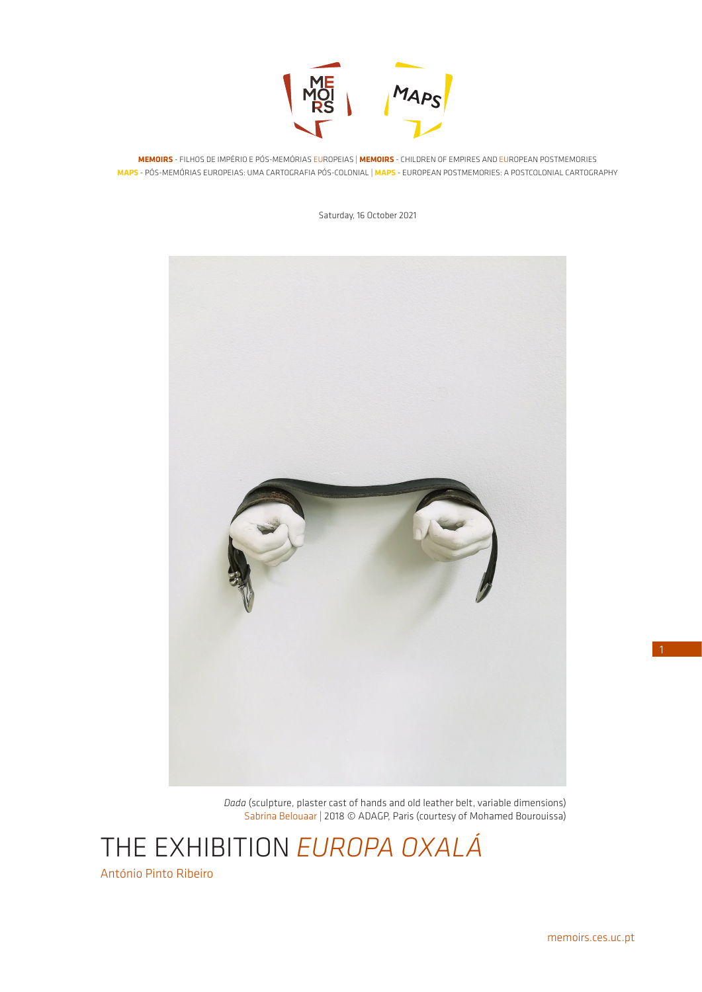

**MEMOIRS** - FILHOS DE IMPÉRIO E PÓS-MEMÓRIAS EUROPEIAS | **MEMOIRS** - CHILDREN OF EMPIRES AND EUROPEAN POSTMEMORIES **MAPS** - PÓS-MEMÓRIAS EUROPEIAS: UMA CARTOGRAFIA PÓS-COLONIAL | **MAPS** - EUROPEAN POSTMEMORIES: A POSTCOLONIAL CARTOGRAPHY

Saturday, 16 October 2021



*Dada* (sculpture, plaster cast of hands and old leather belt, variable dimensions) Sabrina Belouaar | 2018 © ADAGP, Paris (courtesy of Mohamed Bourouissa)

THE EXHIBITION *EUROPA OXALÁ*

António Pinto Ribeiro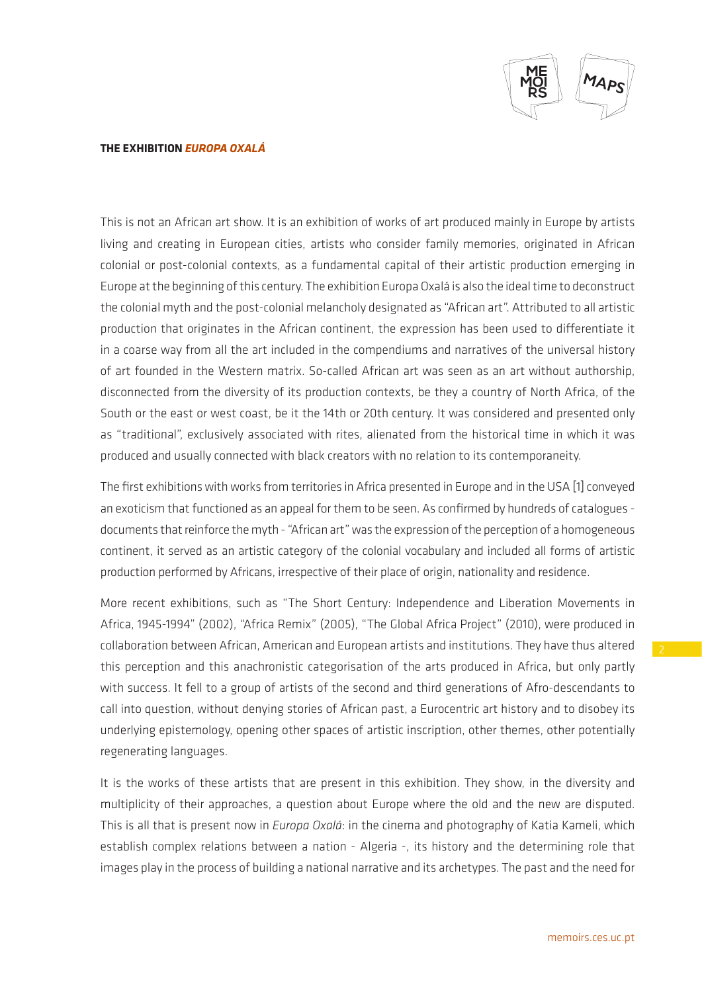

This is not an African art show. It is an exhibition of works of art produced mainly in Europe by artists living and creating in European cities, artists who consider family memories, originated in African colonial or post-colonial contexts, as a fundamental capital of their artistic production emerging in Europe at the beginning of this century. The exhibition Europa Oxalá is also the ideal time to deconstruct the colonial myth and the post-colonial melancholy designated as "African art". Attributed to all artistic production that originates in the African continent, the expression has been used to differentiate it in a coarse way from all the art included in the compendiums and narratives of the universal history of art founded in the Western matrix. So-called African art was seen as an art without authorship, disconnected from the diversity of its production contexts, be they a country of North Africa, of the South or the east or west coast, be it the 14th or 20th century. It was considered and presented only as "traditional", exclusively associated with rites, alienated from the historical time in which it was produced and usually connected with black creators with no relation to its contemporaneity.

The first exhibitions with works from territories in Africa presented in Europe and in the USA [1] conveyed an exoticism that functioned as an appeal for them to be seen. As confirmed by hundreds of catalogues documents that reinforce the myth - "African art" was the expression of the perception of a homogeneous continent, it served as an artistic category of the colonial vocabulary and included all forms of artistic production performed by Africans, irrespective of their place of origin, nationality and residence.

More recent exhibitions, such as "The Short Century: Independence and Liberation Movements in Africa, 1945-1994" (2002), "Africa Remix" (2005), "The Global Africa Project" (2010), were produced in collaboration between African, American and European artists and institutions. They have thus altered this perception and this anachronistic categorisation of the arts produced in Africa, but only partly with success. It fell to a group of artists of the second and third generations of Afro-descendants to call into question, without denying stories of African past, a Eurocentric art history and to disobey its underlying epistemology, opening other spaces of artistic inscription, other themes, other potentially regenerating languages.

It is the works of these artists that are present in this exhibition. They show, in the diversity and multiplicity of their approaches, a question about Europe where the old and the new are disputed. This is all that is present now in *Europa Oxalá*: in the cinema and photography of Katia Kameli, which establish complex relations between a nation - Algeria -, its history and the determining role that images play in the process of building a national narrative and its archetypes. The past and the need for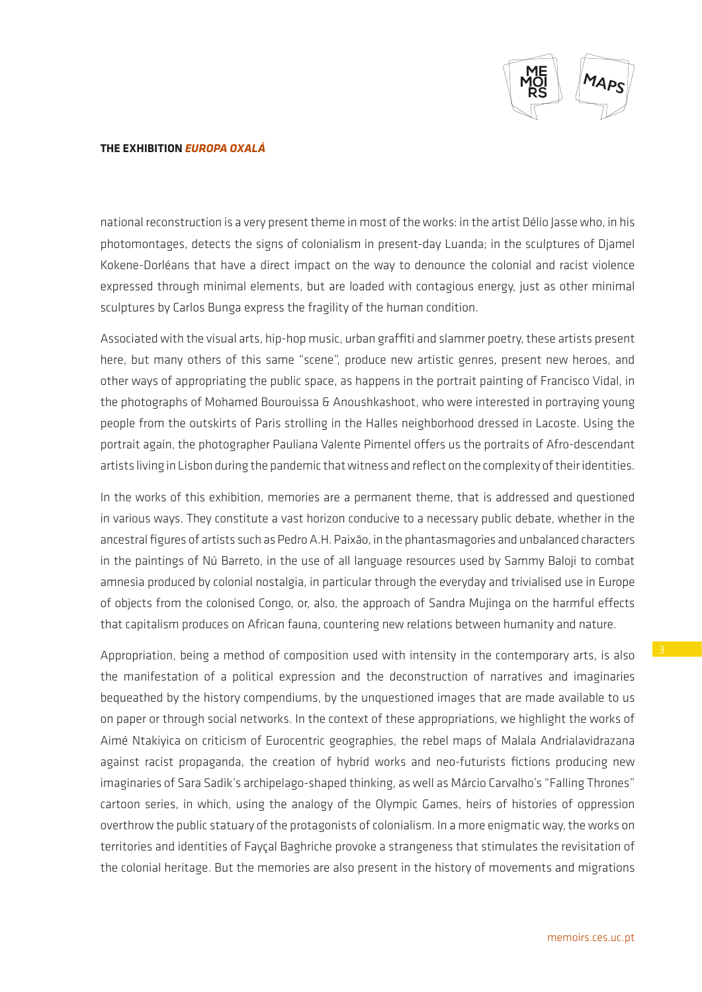

national reconstruction is a very present theme in most of the works: in the artist Délio Jasse who, in his photomontages, detects the signs of colonialism in present-day Luanda; in the sculptures of Djamel Kokene-Dorléans that have a direct impact on the way to denounce the colonial and racist violence expressed through minimal elements, but are loaded with contagious energy, just as other minimal sculptures by Carlos Bunga express the fragility of the human condition.

Associated with the visual arts, hip-hop music, urban graffiti and slammer poetry, these artists present here, but many others of this same "scene", produce new artistic genres, present new heroes, and other ways of appropriating the public space, as happens in the portrait painting of Francisco Vidal, in the photographs of Mohamed Bourouissa & Anoushkashoot, who were interested in portraying young people from the outskirts of Paris strolling in the Halles neighborhood dressed in Lacoste. Using the portrait again, the photographer Pauliana Valente Pimentel offers us the portraits of Afro-descendant artists living in Lisbon during the pandemic that witness and reflect on the complexity of their identities.

In the works of this exhibition, memories are a permanent theme, that is addressed and questioned in various ways. They constitute a vast horizon conducive to a necessary public debate, whether in the ancestral figures of artists such as Pedro A.H. Paixão, in the phantasmagories and unbalanced characters in the paintings of Nú Barreto, in the use of all language resources used by Sammy Baloji to combat amnesia produced by colonial nostalgia, in particular through the everyday and trivialised use in Europe of objects from the colonised Congo, or, also, the approach of Sandra Mujinga on the harmful effects that capitalism produces on African fauna, countering new relations between humanity and nature.

Appropriation, being a method of composition used with intensity in the contemporary arts, is also the manifestation of a political expression and the deconstruction of narratives and imaginaries bequeathed by the history compendiums, by the unquestioned images that are made available to us on paper or through social networks. In the context of these appropriations, we highlight the works of Aimé Ntakiyica on criticism of Eurocentric geographies, the rebel maps of Malala Andrialavidrazana against racist propaganda, the creation of hybrid works and neo-futurists fictions producing new imaginaries of Sara Sadik's archipelago-shaped thinking, as well as Márcio Carvalho's "Falling Thrones" cartoon series, in which, using the analogy of the Olympic Games, heirs of histories of oppression overthrow the public statuary of the protagonists of colonialism. In a more enigmatic way, the works on territories and identities of Fayçal Baghriche provoke a strangeness that stimulates the revisitation of the colonial heritage. But the memories are also present in the history of movements and migrations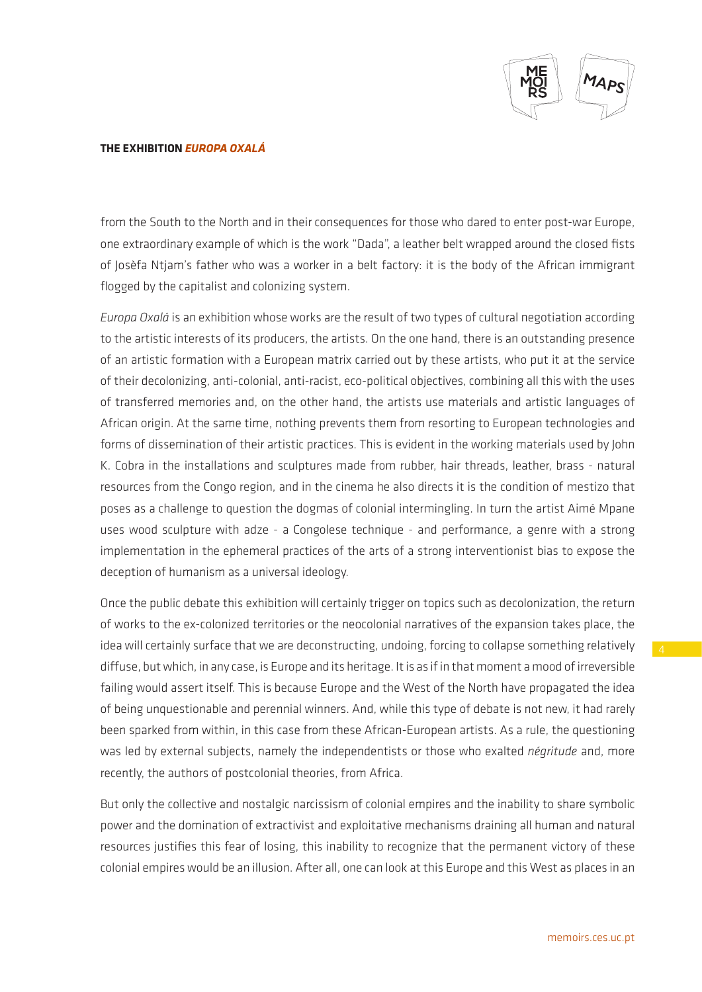

from the South to the North and in their consequences for those who dared to enter post-war Europe, one extraordinary example of which is the work "Dada", a leather belt wrapped around the closed fists of Josèfa Ntjam's father who was a worker in a belt factory: it is the body of the African immigrant flogged by the capitalist and colonizing system.

*Europa Oxalá* is an exhibition whose works are the result of two types of cultural negotiation according to the artistic interests of its producers, the artists. On the one hand, there is an outstanding presence of an artistic formation with a European matrix carried out by these artists, who put it at the service of their decolonizing, anti-colonial, anti-racist, eco-political objectives, combining all this with the uses of transferred memories and, on the other hand, the artists use materials and artistic languages of African origin. At the same time, nothing prevents them from resorting to European technologies and forms of dissemination of their artistic practices. This is evident in the working materials used by John K. Cobra in the installations and sculptures made from rubber, hair threads, leather, brass - natural resources from the Congo region, and in the cinema he also directs it is the condition of mestizo that poses as a challenge to question the dogmas of colonial intermingling. In turn the artist Aimé Mpane uses wood sculpture with adze - a Congolese technique - and performance, a genre with a strong implementation in the ephemeral practices of the arts of a strong interventionist bias to expose the deception of humanism as a universal ideology.

Once the public debate this exhibition will certainly trigger on topics such as decolonization, the return of works to the ex-colonized territories or the neocolonial narratives of the expansion takes place, the idea will certainly surface that we are deconstructing, undoing, forcing to collapse something relatively diffuse, but which, in any case, is Europe and its heritage. It is as if in that moment a mood of irreversible failing would assert itself. This is because Europe and the West of the North have propagated the idea of being unquestionable and perennial winners. And, while this type of debate is not new, it had rarely been sparked from within, in this case from these African-European artists. As a rule, the questioning was led by external subjects, namely the independentists or those who exalted *négritude* and, more recently, the authors of postcolonial theories, from Africa.

But only the collective and nostalgic narcissism of colonial empires and the inability to share symbolic power and the domination of extractivist and exploitative mechanisms draining all human and natural resources justifies this fear of losing, this inability to recognize that the permanent victory of these colonial empires would be an illusion. After all, one can look at this Europe and this West as places in an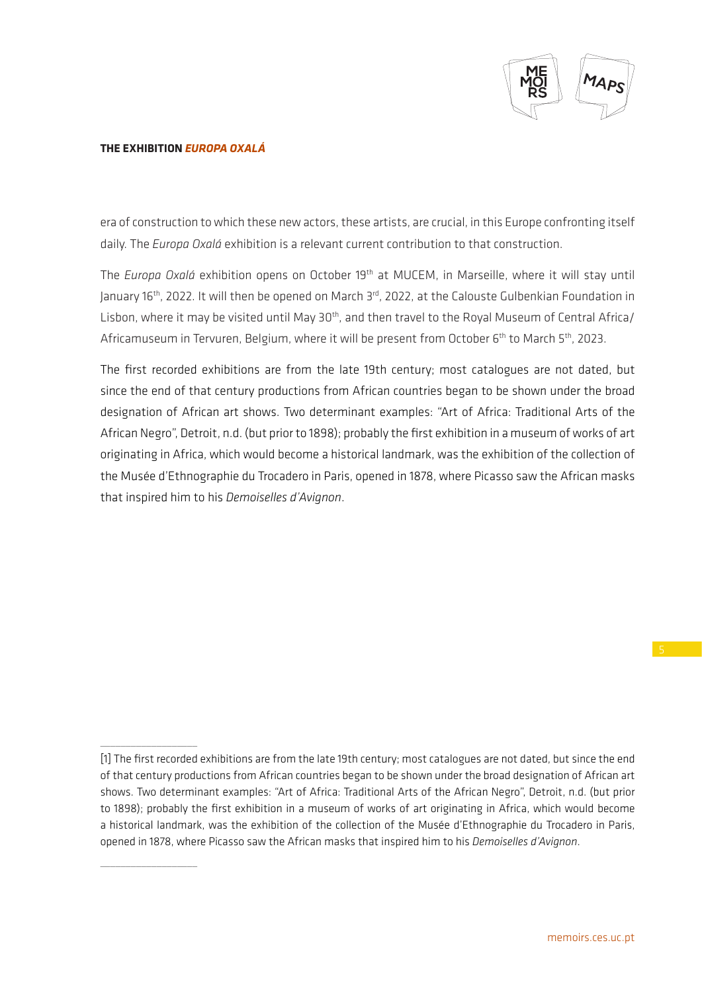

 $\overline{\phantom{a}}$  , where  $\overline{\phantom{a}}$ 

 $\overline{\phantom{a}}$  , where  $\overline{\phantom{a}}$ 

era of construction to which these new actors, these artists, are crucial, in this Europe confronting itself daily. The *Europa Oxalá* exhibition is a relevant current contribution to that construction.

The *Europa Oxalá* exhibition opens on October 19th at MUCEM, in Marseille, where it will stay until January 16th, 2022. It will then be opened on March 3rd, 2022, at the Calouste Gulbenkian Foundation in Lisbon, where it may be visited until May 30<sup>th</sup>, and then travel to the Royal Museum of Central Africa/ Africamuseum in Tervuren, Belgium, where it will be present from October 6<sup>th</sup> to March 5<sup>th</sup>, 2023.

The first recorded exhibitions are from the late 19th century; most catalogues are not dated, but since the end of that century productions from African countries began to be shown under the broad designation of African art shows. Two determinant examples: "Art of Africa: Traditional Arts of the African Negro", Detroit, n.d. (but prior to 1898); probably the first exhibition in a museum of works of art originating in Africa, which would become a historical landmark, was the exhibition of the collection of the Musée d'Ethnographie du Trocadero in Paris, opened in 1878, where Picasso saw the African masks that inspired him to his *Demoiselles d'Avignon*.

<sup>[1]</sup> The first recorded exhibitions are from the late 19th century; most catalogues are not dated, but since the end of that century productions from African countries began to be shown under the broad designation of African art shows. Two determinant examples: "Art of Africa: Traditional Arts of the African Negro", Detroit, n.d. (but prior to 1898); probably the first exhibition in a museum of works of art originating in Africa, which would become a historical landmark, was the exhibition of the collection of the Musée d'Ethnographie du Trocadero in Paris, opened in 1878, where Picasso saw the African masks that inspired him to his *Demoiselles d'Avignon*.